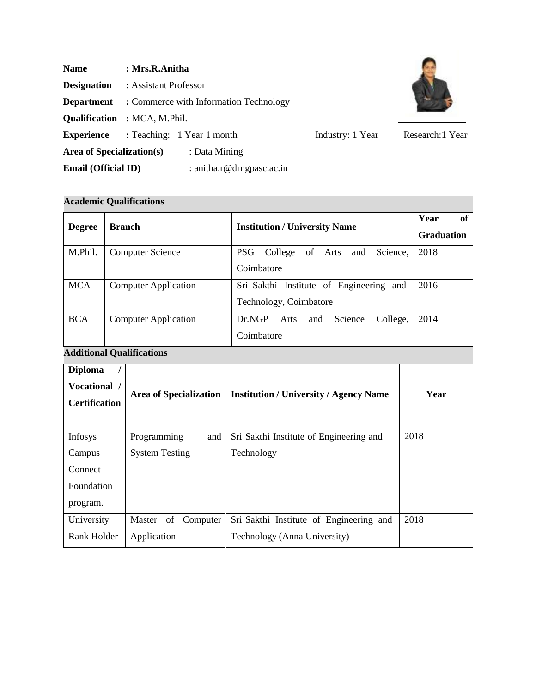| <b>Name</b>                | : Mrs.R.Anitha                         |                           |                  |                 |  |
|----------------------------|----------------------------------------|---------------------------|------------------|-----------------|--|
| <b>Designation</b>         | : Assistant Professor                  |                           |                  |                 |  |
| <b>Department</b>          | : Commerce with Information Technology |                           |                  |                 |  |
|                            | <b>Qualification</b> : MCA, M.Phil.    |                           |                  |                 |  |
| <b>Experience</b>          | : Teaching: 1 Year 1 month             |                           | Industry: 1 Year | Research:1 Year |  |
| Area of Specialization(s)  |                                        | : Data Mining             |                  |                 |  |
| <b>Email (Official ID)</b> |                                        | : anitha.r@drngpasc.ac.in |                  |                 |  |

 $\overline{\phantom{a}}$ 

# **Academic Qualifications**

| <b>Degree</b> | <b>Branch</b>               | <b>Institution / University Name</b>                              | Year<br>of<br><b>Graduation</b> |
|---------------|-----------------------------|-------------------------------------------------------------------|---------------------------------|
| M.Phil.       | <b>Computer Science</b>     | PSG<br>College<br>Science,<br>of Arts<br>and<br>Coimbatore        | 2018                            |
| <b>MCA</b>    | <b>Computer Application</b> | Sri Sakthi Institute of Engineering and<br>Technology, Coimbatore | 2016                            |
| <b>BCA</b>    | <b>Computer Application</b> | Dr.NGP<br>Science<br>College,<br>Arts<br>and<br>Coimbatore        | 2014                            |

# **Additional Qualifications**

| <b>Diploma</b><br>Vocational /<br><b>Certification</b> | <b>Area of Specialization</b> | <b>Institution / University / Agency Name</b> | Year |
|--------------------------------------------------------|-------------------------------|-----------------------------------------------|------|
| Infosys                                                | and<br>Programming            | Sri Sakthi Institute of Engineering and       | 2018 |
| Campus                                                 | <b>System Testing</b>         | Technology                                    |      |
| Connect                                                |                               |                                               |      |
| Foundation                                             |                               |                                               |      |
| program.                                               |                               |                                               |      |
| University                                             | Master of Computer            | Sri Sakthi Institute of Engineering and       | 2018 |
| Rank Holder                                            | Application                   | Technology (Anna University)                  |      |